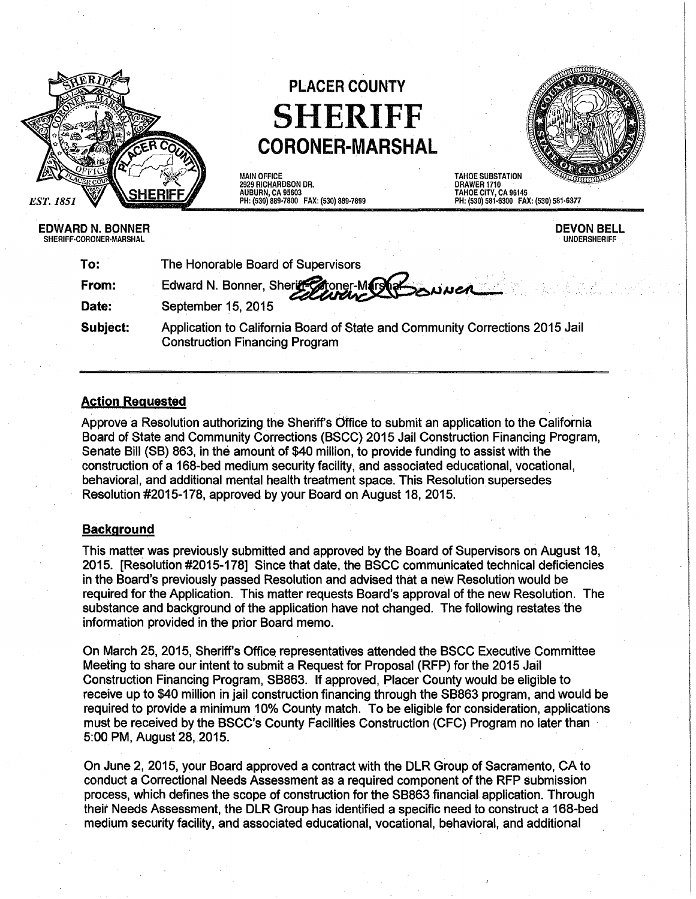

# **PLACER COUNTY SHERIFF CORONER-MARSHAL**

TAHOE SUBSTATION

DEVON BELL UNDERSHERIFF

MAIN OFFICE 2929 RICHARDSON DR. AUBURN, CA 95603 PH: (530) 889·7800 FAX: (530) 889·7899

DRAWER 1710 TAHOE CITY, CA 96145 PH: (530) 581·6300 FAX: (530) 581·6377

| EDWARD N. BONNER<br>SHERIFF-CORONER-MARSHAL |                                                                                                                               |
|---------------------------------------------|-------------------------------------------------------------------------------------------------------------------------------|
| To:                                         | The Honorable Board of Supervisors                                                                                            |
| From:                                       | Edward N. Bonner, Sheriff Choner-Marshet Sonner                                                                               |
| Date:                                       | September 15, 2015                                                                                                            |
|                                             | A deally office the $\bigcap$ official $\bigcap$ or and off $\bigcap$ of $\bigcap$ and $\bigcap$ conserved in $\bigcap$ cases |

**Subject:**  Application to California Board of State and Community Corrections 2015 Jail Construction Financing Program

### **Action Requested**

Approve a Resolution authorizing the Sheriff's Office to submit an application to the California Board of State and Community Corrections (BSCC) 2015 Jail Construction Financing Program, Senate Bill (SB) 863, in the amount of \$40 million, to provide funding to assist with the construction of a 168-bed medium security facility, and associated educational, vocational, behavioral, and additional mental health treatment space. This Resolution supersedes Resolution #2015-178, approved by your Board on August 18, 2015.

#### **Background**

This matter was previously submitted and approved by the Board of Supervisors ori August 18, 2015. [Resolution #2015-178] Since that date, the BSCC communicated technical deficiencies in the Board's previously passed Resolution and advised that a new Resolution would be required for the Application. This matter requests Board's approval of the new Resolution. The substance and background of the application have not changed. The following restates the information provided in the prior Board memo.

On March 25, 2015, Sheriff's Office representatives attended the BSCC Executive Committee Meeting to share our intent to submit a Request for Proposal (RFP) for the 2015 Jail Construction Financing Program, SB863. If approved, Placer County would be eligible to receive up to \$40 million in jail construction financing through the SB863 program, and would be required to provide a minimum 10% County match. To be eligible for consideration, applications must be received by the BSCC's County Facilities Construction (CFC) Program no later than 5:00 PM, August 28, 2015.

On June 2, 2015, your Board approved a contract with the DLR Group of Sacramento, CA to conduct a Correctional Needs Assessment as a required component of the RFP submission process, which defines the scope of construction for the SB863 financial application. Through their Needs Assessment, the DLR Group has identified a specific need to construct a 168-bed medium security facility, and associated educational, vocational, behavioral, and additional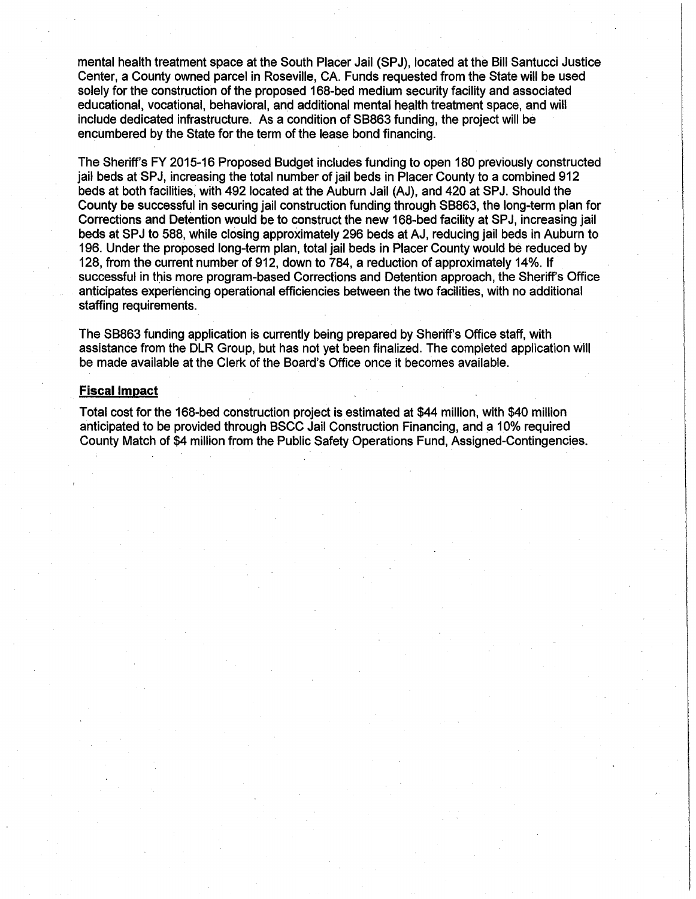mental health treatment space at the South Placer Jail (SPJ), located at the Bill Santucci Justice Center, a County owned parcel in Roseville, CA. Funds requested from the State will be used solely for the construction of the proposed 168-bed medium security facility and associated educational, vocational, behavioral, and additional mental health treatment space, and will include dedicated infrastructure. As a condition of SB863 funding, the project will be encumbered by the State for the term of the lease bond financing.

The Sheriff's FY 2015-16 Proposed Budget includes funding to open 180 previously constructed jail beds at SPJ, increasing the total number of jail beds in Placer County to a combined 912 beds at both facilities, with 492 located at the Auburn Jail (AJ), and 420 at SPJ. Should the County be successful in securing jail construction funding through SB863, the long-term plan for Corrections and Detention would be to construct the new 168-bed facility at SPJ, increasing jail beds at SPJ to 588, while closing approximately 296 beds at AJ, reducing jail beds in Auburn to 196. Under the proposed long-term plan, total jail beds in Placer County would be reduced by 128, from the current number of 912, down to 784, a reduction of approximately 14%. If successful in this more program-based Corrections and Detention approach, the Sheriff's Office anticipates experiencing operational efficiencies between the two facilities, with no additional staffing requirements.

The SB863 funding application is currently being prepared by Sheriff's Office staff, with assistance from the DLR Group, but has not yet been finalized. The completed application will be made available at the Clerk of the Board's Office once it becomes available.

#### **Fiscal Impact**

Total cost for the 168-bed construction project is estimated at \$44 million, with \$40 million anticipated to be provided through BSCC Jail Construction Financing, and a 10% required County Match of \$4 million from the Public Safety Operations Fund, Assigned-Contingencies.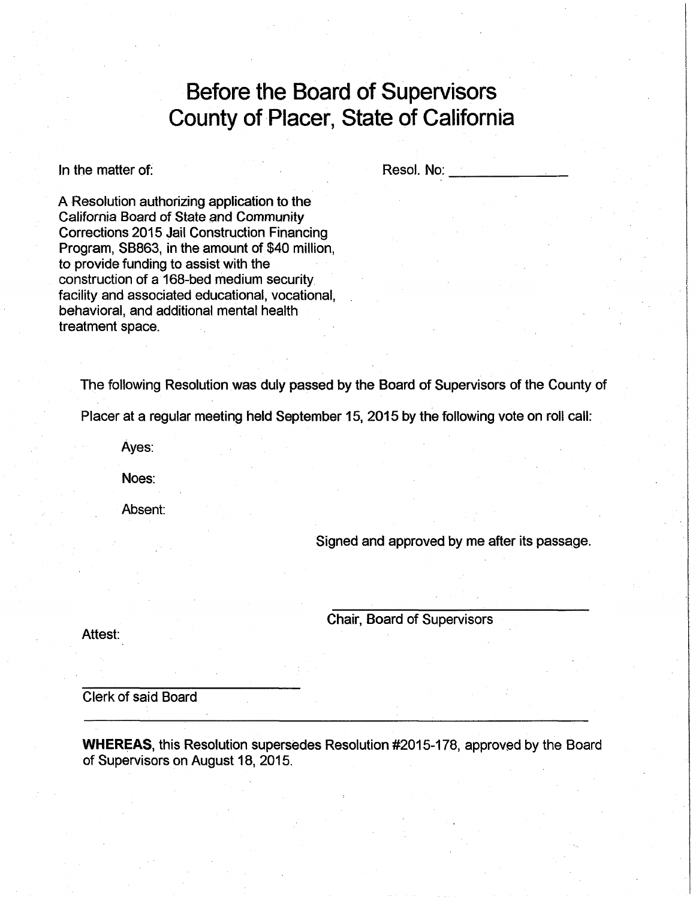## **Before the Board of Supervisors County of Placer, State of California**

In the matter of:

Resol. No:

A Resolution authorizing application to the California Board of State and Community Corrections 2015 Jail Construction Financing Program, SB863, in the amount of \$40 million, to provide funding to assist with the construction of a 168-bed medium security facility and associated educational, vocational, behavioral, and additional mental health treatment space.

The following Resolution was duly passed by the Board of Supervisors of the County of

Placer at a regular meeting held September 15, 2015 by the following vote on roll call:

Ayes:

Noes:

Absent:

Signed and approved by me after its passage.

Attest:

Chair, Board of Supervisors

Clerk of said Board

**WHEREAS, this Resolution supersedes Resolution #2015-178, approved by the Board** of Supervisors on August 18, 2015.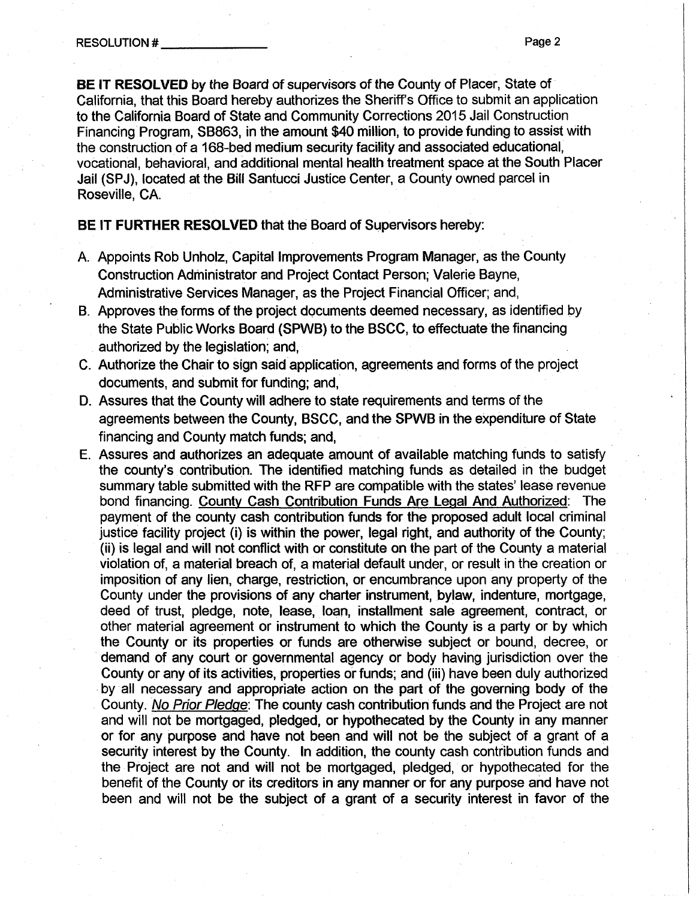**BE IT RESOLVED** by the Board of supervisors of the County of Placer, State of California, that this Board hereby authorizes the Sheriff's Office to submit an application to the California Board of State and Community Corrections 2015 Jail Construction Financing Program, SB863, in the amount \$40 million, to provide funding to assist with the construction of a 168-bed medium security facility and associated educational, vocational, behavioral, and additional mental health treatment space at the South Placer Jail (SPJ), located at the Bill Santucci Justice Center, a County owned parcel in Roseville, CA.

**BE IT FURTHER RESOLVED** that the Board of Supervisors hereby:

- A. Appoints Rob Unholz, Capital Improvements Program Manager, as the County Construction Administrator and Project Contact Person; Valerie Bayne, Administrative Services Manager, as the Project Financial Officer; and,
- B. Approves the forms of the project documents deemed necessary, as identified by the State Public Works Board (SPWB) to the BSCC, to effectuate the financing authorized by the legislation; and,
- C. Authorize the Chair to sign said.application, agreements and forms of the project documents, and submit for funding; and,
- D. Assures that the County will adhere to state requirements and terms of the agreements between the County, BSCC, and the SPWB in the expenditure of State financing and County match funds; and,
- E. Assures and authorizes an adequate amount of available matching funds to satisfy the county's contribution. The identified matching funds as detailed in the budget summary table submitted with the RFP are compatible with the states' lease revenue bond financing. County Cash Contribution Funds Are Legal And Authorized: The payment of the county cash contribution funds for the proposed adult local criminal justice facility project (i) is within the power, legal right, and authority of the County; (ii) is legal and will not conflict with or constitute on the part of the County a material violation of, a material breach of, a material default under, or result in the creation or imposition of any lien, charge, restriction, or encumbrance upon any property of the County under the provisions of any charter instrument, bylaw, indenture, mortgage, deed of trust, pledge, note, lease, loan, installment sale agreement, contract, or other material agreement or instrument to which the County is a party or by which the County or its properties or funds are otherwise subject or bound, decree, or demand of any court or governmental agency or body having jurisdiction over the County or any of its activities, properties or funds; and (iii) have been duly authorized by all necessary and appropriate action on the part of the governing body of the County. No Prior Pledge: The county cash contribution funds and the Project are not and will not be mortgaged, pledged, or hypothecated by the County in any manner or for any purpose and have not been and will not be the subject of a grant of a security interest by the County. In addition, the county cash contribution funds and the Project are not and will not be mortgaged, pledged, or hypothecated for the benefit of the County or its creditors in any manner or for any purpose and have not been and will not be the subject of a grant of a security interest in favor of the